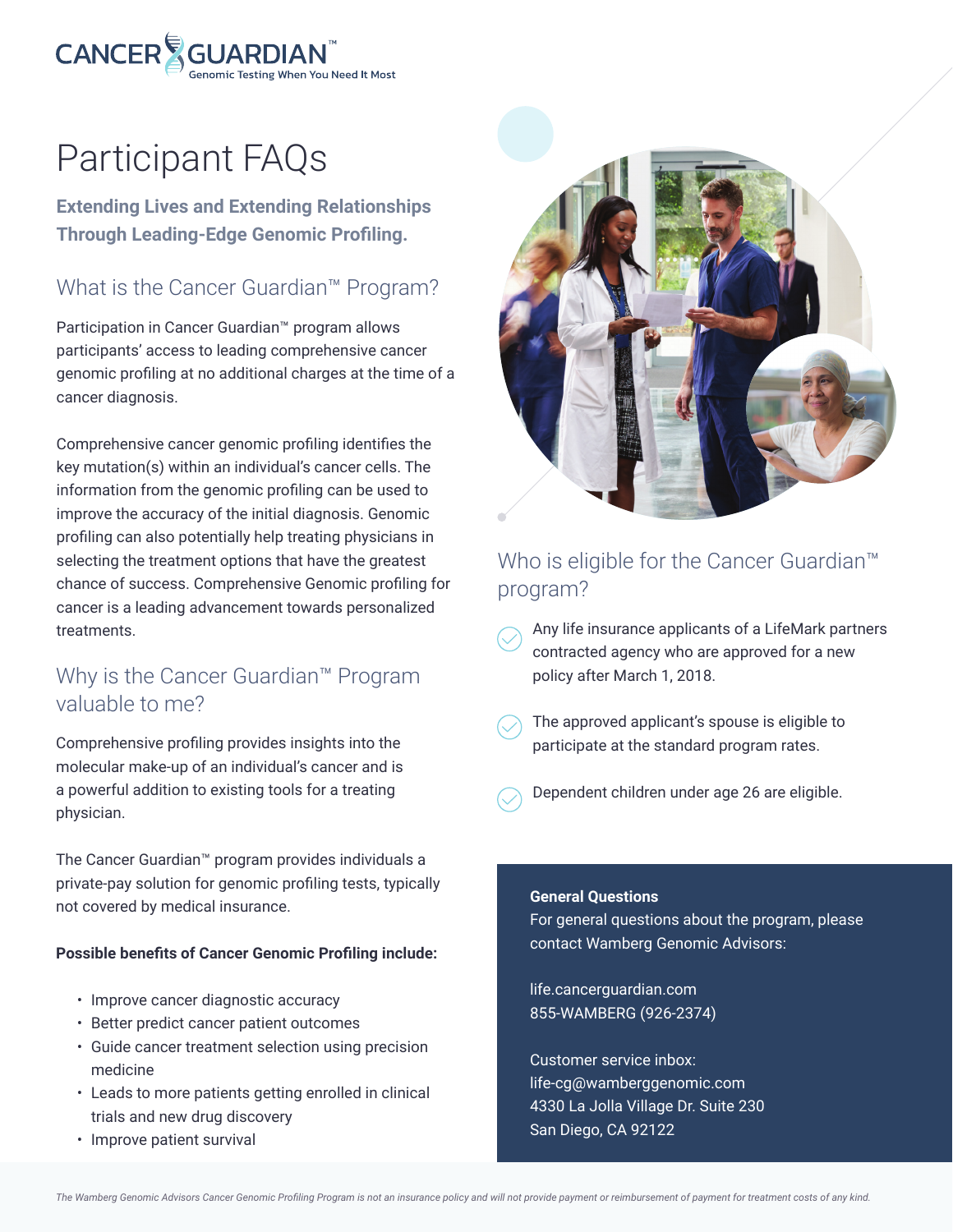

# Participant FAQs

**Extending Lives and Extending Relationships Through Leading-Edge Genomic Profiling.**

# What is the Cancer Guardian™ Program?

Participation in Cancer Guardian™ program allows participants' access to leading comprehensive cancer genomic profiling at no additional charges at the time of a cancer diagnosis.

Comprehensive cancer genomic profiling identifies the key mutation(s) within an individual's cancer cells. The information from the genomic profiling can be used to improve the accuracy of the initial diagnosis. Genomic profiling can also potentially help treating physicians in selecting the treatment options that have the greatest chance of success. Comprehensive Genomic profiling for cancer is a leading advancement towards personalized treatments.

## Why is the Cancer Guardian™ Program valuable to me?

Comprehensive profiling provides insights into the molecular make-up of an individual's cancer and is a powerful addition to existing tools for a treating physician.

The Cancer Guardian™ program provides individuals a private-pay solution for genomic profiling tests, typically not covered by medical insurance.

#### **Possible benefits of Cancer Genomic Profiling include:**

- Improve cancer diagnostic accuracy
- Better predict cancer patient outcomes
- Guide cancer treatment selection using precision medicine
- Leads to more patients getting enrolled in clinical trials and new drug discovery
- Improve patient survival



# Who is eligible for the Cancer Guardian<sup>™</sup> program?

- Any life insurance applicants of a LifeMark partners contracted agency who are approved for a new policy after March 1, 2018.
- The approved applicant's spouse is eligible to participate at the standard program rates.
- Dependent children under age 26 are eligible.

#### **General Questions**

For general questions about the program, please contact Wamberg Genomic Advisors:

life.cancerguardian.com 855-WAMBERG (926-2374)

Customer service inbox: life-cg@wamberggenomic.com 4330 La Jolla Village Dr. Suite 230 San Diego, CA 92122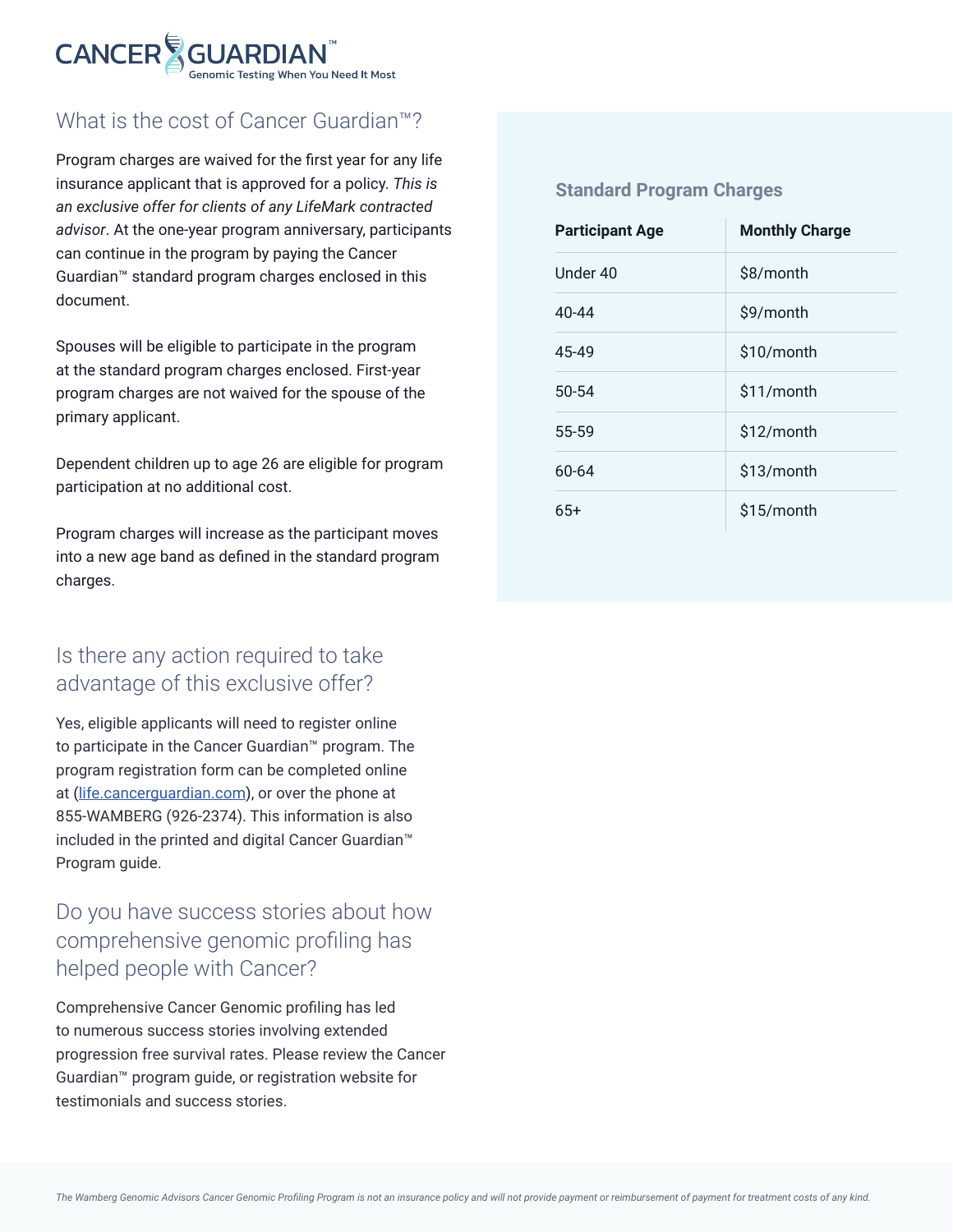

# What is the cost of Cancer Guardian™?

Program charges are waived for the first year for any life insurance applicant that is approved for a policy. *This is an exclusive offer for clients of any LifeMark contracted advisor*. At the one-year program anniversary, participants can continue in the program by paying the Cancer Guardian™ standard program charges enclosed in this document.

Spouses will be eligible to participate in the program at the standard program charges enclosed. First-year program charges are not waived for the spouse of the primary applicant.

Dependent children up to age 26 are eligible for program participation at no additional cost.

Program charges will increase as the participant moves into a new age band as defined in the standard program charges.

# Is there any action required to take advantage of this exclusive offer?

Yes, eligible applicants will need to register online to participate in the Cancer Guardian™ program. The program registration form can be completed online at (life.cancerguardian.com), or over the phone at 855-WAMBERG (926-2374). This information is also included in the printed and digital Cancer Guardian™ Program guide.

# Do you have success stories about how comprehensive genomic profiling has helped people with Cancer?

Comprehensive Cancer Genomic profiling has led to numerous success stories involving extended progression free survival rates. Please review the Cancer Guardian™ program guide, or registration website for testimonials and success stories.

#### **Standard Program Charges**

| <b>Participant Age</b> | <b>Monthly Charge</b> |
|------------------------|-----------------------|
| Under 40               | \$8/month             |
| 40-44                  | \$9/month             |
| 45-49                  | \$10/month            |
| $50 - 54$              | \$11/month            |
| 55-59                  | \$12/month            |
| 60-64                  | \$13/month            |
| $65+$                  | \$15/month            |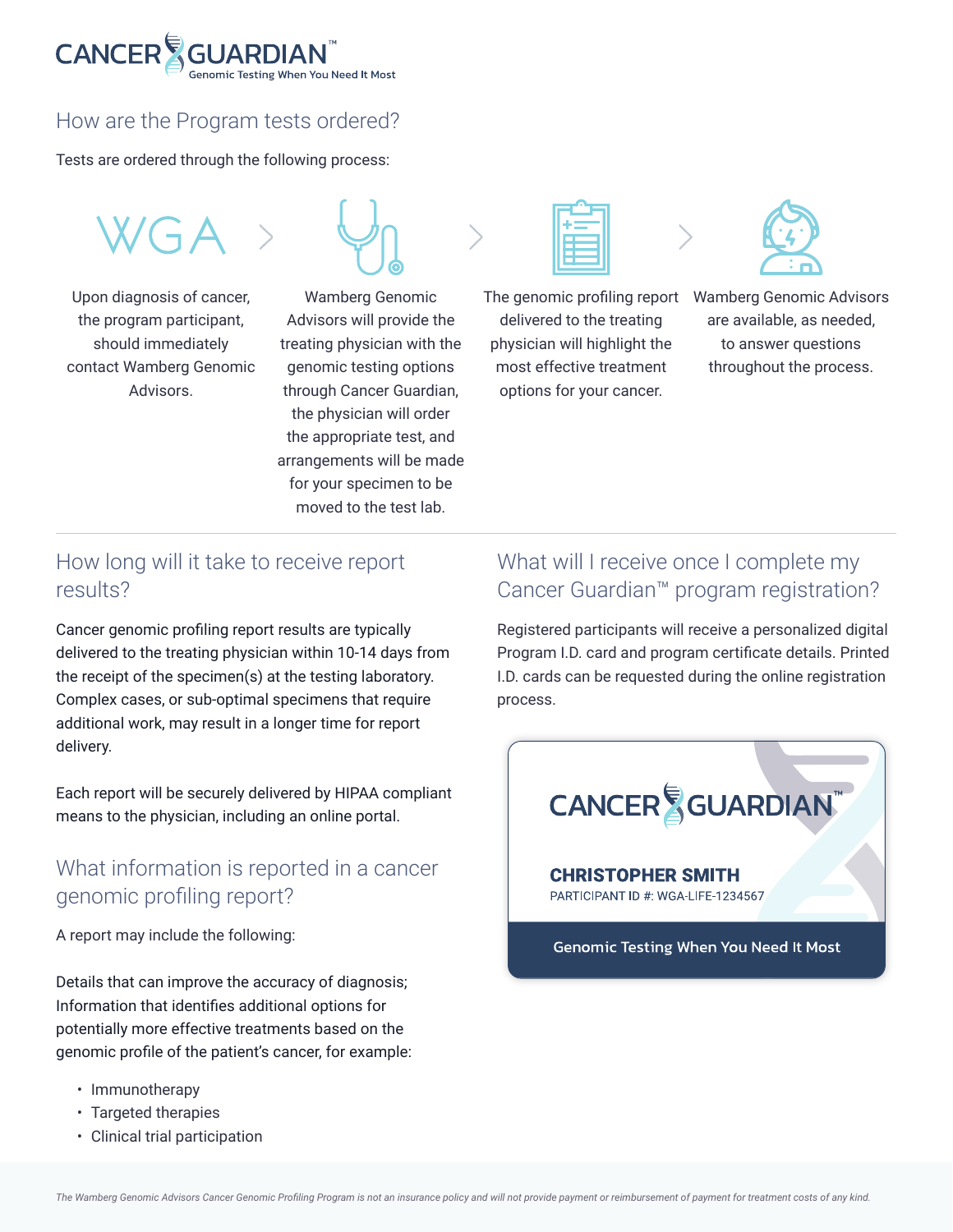

## How are the Program tests ordered?

Tests are ordered through the following process:

 $WGA$ 

Upon diagnosis of cancer, the program participant, should immediately contact Wamberg Genomic Advisors.



Wamberg Genomic Advisors will provide the treating physician with the genomic testing options through Cancer Guardian, the physician will order the appropriate test, and arrangements will be made for your specimen to be moved to the test lab.

delivered to the treating physician will highlight the most effective treatment options for your cancer.



The genomic profiling report Wamberg Genomic Advisors are available, as needed, to answer questions throughout the process.

## How long will it take to receive report results?

Cancer genomic profiling report results are typically delivered to the treating physician within 10-14 days from the receipt of the specimen(s) at the testing laboratory. Complex cases, or sub-optimal specimens that require additional work, may result in a longer time for report delivery.

Each report will be securely delivered by HIPAA compliant means to the physician, including an online portal.

## What information is reported in a cancer genomic profiling report?

A report may include the following:

Details that can improve the accuracy of diagnosis; Information that identifies additional options for potentially more effective treatments based on the genomic profile of the patient's cancer, for example:

- Immunotherapy
- Targeted therapies
- Clinical trial participation

# What will I receive once I complete my Cancer Guardian™ program registration?

Registered participants will receive a personalized digital Program I.D. card and program certificate details. Printed I.D. cards can be requested during the online registration process.



PARTICIPANT ID #: WGA-LIFE-1234567

Genomic Testing When You Need It Most